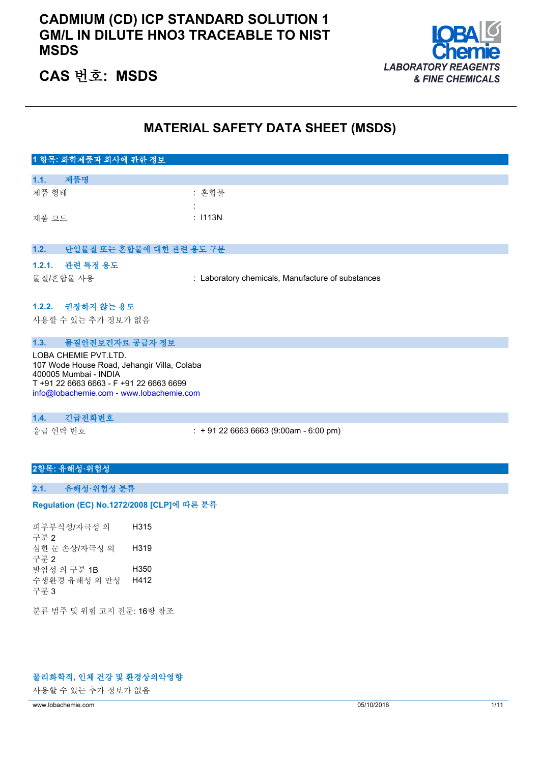## **CADMIUM (CD) ICP STANDARD SOLUTION 1 GM/L IN DILUTE HNO3 TRACEABLE TO NIST MSDS**



## **CAS 번호: MSDS**

## **MATERIAL SAFETY DATA SHEET (MSDS)**

| 1 항목: 화학제품과 회사에 관한 정보            |                                                   |
|----------------------------------|---------------------------------------------------|
|                                  |                                                   |
| 제품명<br>1.1.                      |                                                   |
| 제품 형태                            | : 혼합물                                             |
|                                  | ÷.                                                |
| 제품 코드                            | : 1113N                                           |
|                                  |                                                   |
|                                  |                                                   |
| 1.2.<br>단일물질 또는 혼합물에 대한 관련 용도 구분 |                                                   |
| 1.2.1. 관련 특정 용도                  |                                                   |
| 물질/혼합물 사용                        | : Laboratory chemicals, Manufacture of substances |
|                                  |                                                   |
| 1.2.2. 권장하지 않는 용도                |                                                   |
| 사용할 수 있는 추가 정보가 없음               |                                                   |
|                                  |                                                   |
| 물질안전보건자료 공급자 정보<br>1.3.          |                                                   |

LOBA CHEMIE PVT.LTD. 107 Wode House Road, Jehangir Villa, Colaba 400005 Mumbai - INDIA T +91 22 6663 6663 - F +91 22 6663 6699 [info@lobachemie.com](mailto:info@lobachemie.com) - <www.lobachemie.com>

#### **1.4. 긴급전화번호**

응급 연락 번호 : + 91 22 6663 6663 (9:00am - 6:00 pm)

#### **2항목: 유해성·위험성**

#### **2.1. 유해성·위험성 분류**

#### Regulation (EC) No.1272/2008 [CLP]에 따른 분류

피부부식성/자극성 의 구분 2 H315 심한 눈 손상/자극성 의 구분 2 H319 발암성 의 구분 1B H350 수생환경 유해성 의 만성 구분 3 H412

분류 범주 및 위험 고지 전문: 16항 참조

#### **물리화학적, 인체 건강 및 환경상의악영향**

사용할 수 있는 추가 정보가 없음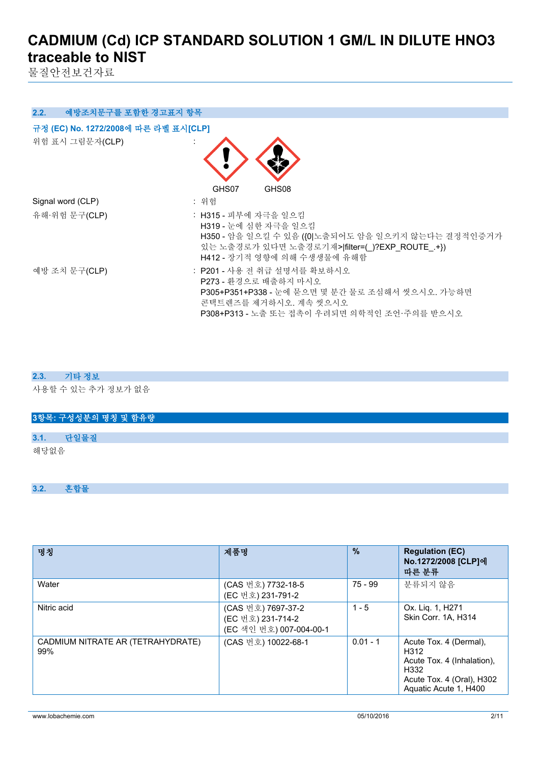물질안전보건자료

| 예방조치문구를 포함한 경고표지 항목<br>2.2.                             |                                                                                                                                                                                   |
|---------------------------------------------------------|-----------------------------------------------------------------------------------------------------------------------------------------------------------------------------------|
| 규정 (EC) No. 1272/2008에 따른 라벨 표시[CLP]<br>위험 표시 그림문자(CLP) | GHS08<br>GHS07                                                                                                                                                                    |
| Signal word (CLP)                                       | : 위험                                                                                                                                                                              |
| 유해·위험 문구(CLP)                                           | : H315 - 피부에 자극을 일으킴<br>H319 - 눈에 심한 자극을 일으킴<br>H350 - 암을 일으킬 수 있음 ({0 노출되어도 암을 일으키지 않는다는 결정적인증거가<br>있는 노출경로가 있다면 노출경로기재> filter=(_)?EXP_ROUTE_+})<br>H412 - 장기적 영향에 의해 수생생물에 유해함 |
| 예방 조치 문구(CLP)                                           | : P201 - 사용 전 취급 설명서를 확보하시오<br>P273 - 화경으로 배출하지 마시오<br>P305+P351+P338 - 눈에 묻으면 몇 분간 물로 조심해서 씻으시오. 가능하면<br>콘택트렌즈를 제거하시오. 계속 씻으시오<br>P308+P313 - 노출 또는 접촉이 우려되면 의학적인 조언·주의를 받으시오    |

#### **2.3. 기타 정보**

사용할 수 있는 추가 정보가 없음

| 3항목: 구성성분의 명칭 및 함유량 |  |
|---------------------|--|
|                     |  |
| 다일물질<br>3.1.        |  |
| 해당없음                |  |

#### **3.2. 혼합물**

| 명칭                                       | 제품명                                                                | $\frac{9}{6}$ | <b>Regulation (EC)</b><br>No.1272/2008 [CLP]에<br>따른 분류                                                                     |
|------------------------------------------|--------------------------------------------------------------------|---------------|----------------------------------------------------------------------------------------------------------------------------|
| Water                                    | (CAS 번호) 7732-18-5<br>(EC 번호) 231-791-2                            | $75 - 99$     | 분류되지 않음                                                                                                                    |
| Nitric acid                              | (CAS 번호) 7697-37-2<br>(EC 번호) 231-714-2<br>(EC 색인 번호) 007-004-00-1 | $1 - 5$       | Ox. Lig. 1, H271<br>Skin Corr. 1A, H314                                                                                    |
| CADMIUM NITRATE AR (TETRAHYDRATE)<br>99% | (CAS 번호) 10022-68-1                                                | $0.01 - 1$    | Acute Tox. 4 (Dermal),<br>H312<br>Acute Tox. 4 (Inhalation),<br>H332<br>Acute Tox. 4 (Oral), H302<br>Aquatic Acute 1, H400 |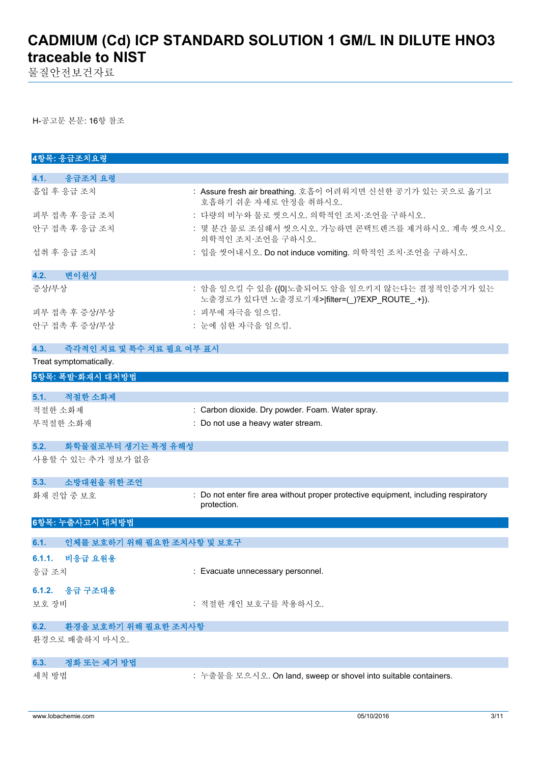물질안전보건자료

H-공고문 본문: 16항 참조

| 4항목: 응급조치요령                        |                                                                                                    |
|------------------------------------|----------------------------------------------------------------------------------------------------|
| 4.1. 응급조치 요령                       |                                                                                                    |
| 흡입 후 응급 조치                         | : Assure fresh air breathing. 호흡이 어려워지면 신선한 공기가 있는 곳으로 옮기고<br>호흡하기 쉬운 자세로 안정을 취하시오.                |
| 피부 접촉 후 응급 조치                      | : 다량의 비누와 물로 씻으시오. 의학적인 조치·조언을 구하시오.                                                               |
| 안구 접촉 후 응급 조치                      | : 몇 분간 물로 조심해서 씻으시오. 가능하면 콘택트렌즈를 제거하시오. 계속 씻으시오.<br>의학적인 조치 조언을 구하시오.                              |
| 섭취 후 응급 조치                         | : 입을 씻어내시오. Do not induce vomiting. 의학적인 조치·조언을 구하시오.                                              |
| 변이원성<br>4.2.                       |                                                                                                    |
| 증상/부상                              | : 암을 일으킬 수 있음 ({0 노출되어도 암을 일으키지 않는다는 결정적인증거가 있는<br>노출경로가 있다면 노출경로기재> filter=(_)?EXP_ROUTE_.+}).    |
| 피부 접촉 후 증상/부상                      | : 피부에 자극을 일으킴.                                                                                     |
| 안구 접촉 후 증상/부상                      | : 눈에 심한 자극을 일으킴.                                                                                   |
| 4.3.<br>즉각적인 치료 및 특수 치료 필요 여부 표시   |                                                                                                    |
| Treat symptomatically.             |                                                                                                    |
| 5항목: 폭발·화재시 대처방법                   |                                                                                                    |
| 5.1.<br>적절한 소화제                    |                                                                                                    |
| 적절한 소화제                            | : Carbon dioxide. Dry powder. Foam. Water spray.                                                   |
| 부적절한 소화재                           | : Do not use a heavy water stream.                                                                 |
| 5.2.<br>화학물질로부터 생기는 특정 유해성         |                                                                                                    |
| 사용할 수 있는 추가 정보가 없음                 |                                                                                                    |
| 소방대원을 위한 조언<br>5.3.                |                                                                                                    |
| 화재 진압 중 보호                         | : Do not enter fire area without proper protective equipment, including respiratory<br>protection. |
| 6항목: 누출사고시 대처방법                    |                                                                                                    |
| 6.1.<br>인체를 보호하기 위해 필요한 조치사항 및 보호구 |                                                                                                    |
| 6.1.1. 비응급 요원용                     |                                                                                                    |
| 응급 조치                              | : Evacuate unnecessary personnel.                                                                  |
| 6.1.2.<br>응급 구조대용                  |                                                                                                    |
| 보호 장비                              | : 적절한 개인 보호구를 착용하시오.                                                                               |
| 환경을 보호하기 위해 필요한 조치사항<br>6.2.       |                                                                                                    |
| 환경으로 배출하지 마시오.                     |                                                                                                    |
| 정화 또는 제거 방법<br>6.3.                |                                                                                                    |
| 세척 방법                              | : 누출물을 모으시오. On land, sweep or shovel into suitable containers.                                    |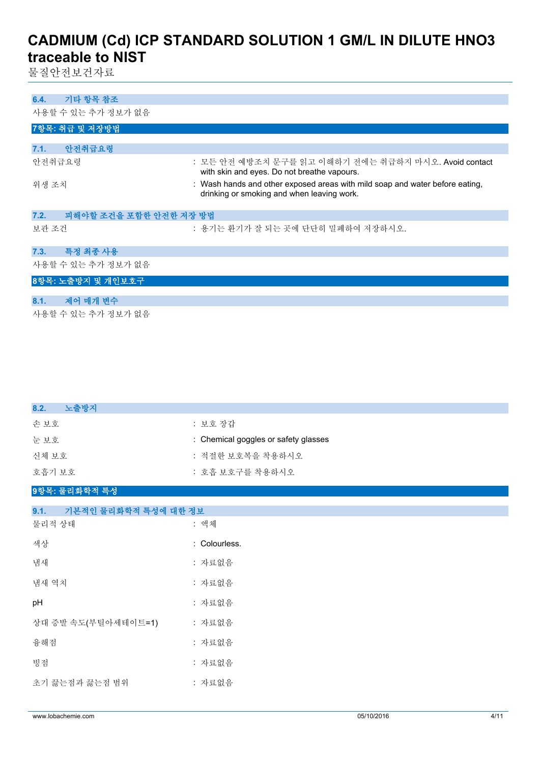물질안전보건자료

| 기타 항목 참조<br>6.4.               |                                                                                                                            |
|--------------------------------|----------------------------------------------------------------------------------------------------------------------------|
| 사용할 수 있는 추가 정보가 없음             |                                                                                                                            |
| 7항목: 취급 및 저장방법                 |                                                                                                                            |
|                                |                                                                                                                            |
| 안전취급요령<br>7.1.                 |                                                                                                                            |
| 안전취급요령                         | : 모든 안전 예방조치 문구를 읽고 이해하기 전에는 취급하지 마시오. Avoid contact<br>with skin and eyes. Do not breathe vapours.                        |
| 위생 조치                          | : Wash hands and other exposed areas with mild soap and water before eating,<br>drinking or smoking and when leaving work. |
| 피해야할 조건을 포함한 안전한 저장 방법<br>7.2. |                                                                                                                            |
| 보관 조건                          | : 용기는 환기가 잘 되는 곳에 단단히 밀폐하여 저장하시오.                                                                                          |
| 7.3.<br>특정 최종 사용               |                                                                                                                            |
| 사용할 수 있는 추가 정보가 없음             |                                                                                                                            |
| 8항목: 노출방지 및 개인보호구              |                                                                                                                            |
| 제어 매개 변수<br>8.1.               |                                                                                                                            |
| 사용할 수 있는 추가 정보가 없음             |                                                                                                                            |

| 노출방지<br>8.2.                 |                                      |
|------------------------------|--------------------------------------|
| 손보호                          | : 보호 장갑                              |
| 눈보호                          | : Chemical goggles or safety glasses |
| 신체보호                         | : 적절한 보호복을 착용하시오                     |
| 호흡기 보호                       | : 호흡 보호구를 착용하시오                      |
| 9항목: 물리화학적 특성                |                                      |
| 9.1.<br>기본적인 물리화학적 특성에 대한 정보 |                                      |
| 물리적 상태                       | : 액체                                 |
| 색상                           | : Colourless.                        |
| 냄새                           | : 자료없음                               |
| 냄새 역치                        | : 자료없음                               |
| pH                           | : 자료없음                               |
| 상대 증발 속도(부틸아세테이트=1)          | : 자료없음                               |
| 융해점                          | : 자료없음                               |
| 빙점                           | : 자료없음                               |
| 초기 끓는점과 끓는점 범위               | : 자료없음                               |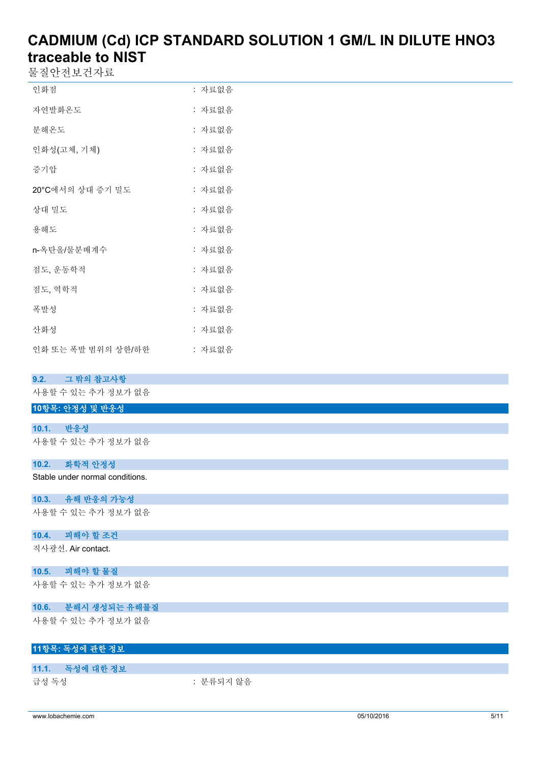물질안전보건자료

| 인화점                | : 자료없음 |
|--------------------|--------|
| 자연발화온도             | : 자료없음 |
| 분해온도               | : 자료없음 |
| 인화성(고체, 기체)        | : 자료없음 |
| 증기압                | : 자료없음 |
| 20°C에서의 상대 증기 밀도   | : 자료없음 |
| 상대 밀도              | : 자료없음 |
| 용해도                | : 자료없음 |
| n-옥탄올/물분배계수        | : 자료없음 |
| 점도, 운동학적           | : 자료없음 |
| 점도, 역학적            | : 자료없음 |
| 폭발성                | : 자료없음 |
| 산화성                | : 자료없음 |
| 인화 또는 폭발 범위의 상한/하한 | : 자료없음 |

#### **9.2. 그 밖의 참고사항**

사용할 수 있는 추가 정보가 없음

#### **10항목: 안정성 및 반응성**

#### **10.1. 반응성** 사용할 수 있는 추가 정보가 없음

#### **10.2. 화학적 안정성**

Stable under normal conditions.

#### **10.3. 유해 반응의 가능성**

사용할 수 있는 추가 정보가 없음

#### **10.4. 피해야 할 조건**

직사광선. Air contact.

### **10.5. 피해야 할 물질**

사용할 수 있는 추가 정보가 없음

#### **10.6. 분해시 생성되는 유해물질**

사용할 수 있는 추가 정보가 없음

#### **11항목: 독성에 관한 정보**

#### **11.1. 독성에 대한 정보**

급성 독성 : 부류되지 않음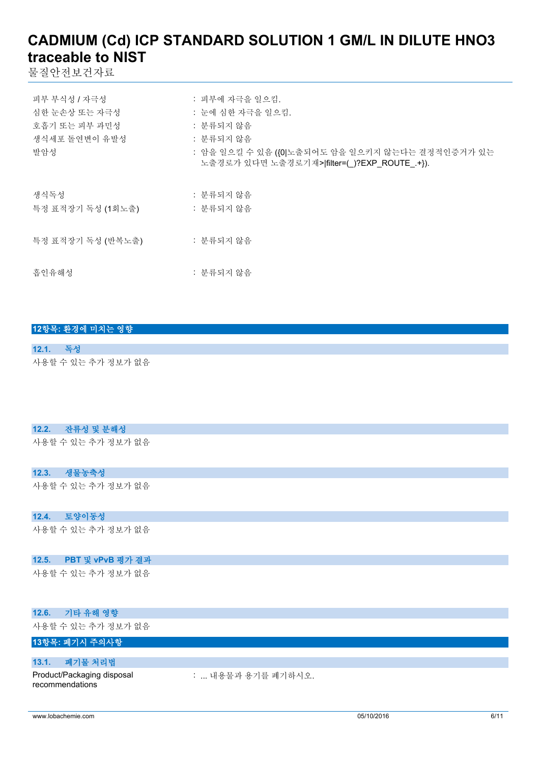물질안전보건자료

| 피부 부식성 / 자극성<br>심한 눈손상 또는 자극성<br>호흡기 또는 피부 과민성 | : 피부에 자극을 일으킴.<br>: 눈에 심한 자극을 일으킴.<br>: 분류되지 않음                                                              |
|------------------------------------------------|--------------------------------------------------------------------------------------------------------------|
| 생식세포 돌연변이 유발성<br>발암성                           | : 분류되지 않음<br>: 암을 일으킬 수 있음 ({0 노출되어도 암을 일으키지 않는다는 결정적인증거가 있는<br>노출경로가 있다면 노출경로기재> filter=( )?EXP_ROUTE .+}). |
| 생식독성<br>특정 표적장기 독성 (1회노출)                      | : 분류되지 않음<br>: 분류되지 않음                                                                                       |
| 특정 표적장기 독성 (반복노출)                              | : 분류되지 않음                                                                                                    |
| 흡인유해성                                          | : 분류되지 않음                                                                                                    |

|          | 12항목: 환경에 미치는 영향   |
|----------|--------------------|
|          |                    |
| 12.1. 독성 |                    |
|          | 사용할 수 있는 추가 정보가 없음 |

#### **12.2. 잔류성 및 분해성**

사용할 수 있는 추가 정보가 없음

#### **12.3. 생물농축성**

사용할 수 있는 추가 정보가 없음

#### **12.4. 토양이동성**

사용할 수 있는 추가 정보가 없음

#### **12.5. PBT 및 vPvB 평가 결과**

사용할 수 있는 추가 정보가 없음

#### **12.6. 기타 유해 영향**

사용할 수 있는 추가 정보가 없음

#### **13항목: 폐기시 주의사항**

#### **13.1. 폐기물 처리법**

Product/Packaging disposal recommendations

: ... 내용물과 용기를 폐기하시오.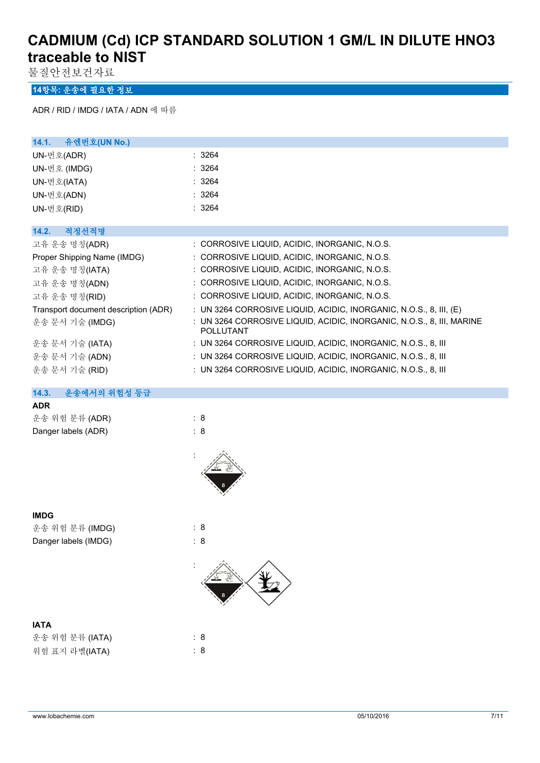물질안전보건자료

#### **14항목: 운송에 필요한 정보**

ADR / RID / IMDG / IATA / ADN 에 따름

| 유엔번호(UN No.)<br>14.1.                |                                                                                    |
|--------------------------------------|------------------------------------------------------------------------------------|
| UN-번호(ADR)                           | : 3264                                                                             |
| UN-번호 (IMDG)                         | : 3264                                                                             |
| UN-번호(IATA)                          | : 3264                                                                             |
| UN-번호(ADN)                           | : 3264                                                                             |
| UN-번호(RID)                           | : 3264                                                                             |
|                                      |                                                                                    |
| 적정선적명<br>14.2.                       |                                                                                    |
| 고유 운송 명칭(ADR)                        | : CORROSIVE LIQUID, ACIDIC, INORGANIC, N.O.S.                                      |
| Proper Shipping Name (IMDG)          | : CORROSIVE LIQUID, ACIDIC, INORGANIC, N.O.S.                                      |
| 고유 운송 명칭(IATA)                       | : CORROSIVE LIQUID, ACIDIC, INORGANIC, N.O.S.                                      |
| 고유 운송 명칭(ADN)                        | : CORROSIVE LIQUID, ACIDIC, INORGANIC, N.O.S.                                      |
| 고유 운송 명칭(RID)                        | : CORROSIVE LIQUID, ACIDIC, INORGANIC, N.O.S.                                      |
| Transport document description (ADR) | : UN 3264 CORROSIVE LIQUID, ACIDIC, INORGANIC, N.O.S., 8, III, (E)                 |
| 운송 문서 기술 (IMDG)                      | : UN 3264 CORROSIVE LIQUID, ACIDIC, INORGANIC, N.O.S., 8, III, MARINE<br>POLLUTANT |
| 운송 문서 기술 (IATA)                      | : UN 3264 CORROSIVE LIQUID, ACIDIC, INORGANIC, N.O.S., 8, III                      |
| 운송 문서 기술 (ADN)                       | : UN 3264 CORROSIVE LIQUID, ACIDIC, INORGANIC, N.O.S., 8, III                      |
| 운송 문서 기술 (RID)                       | : UN 3264 CORROSIVE LIQUID, ACIDIC, INORGANIC, N.O.S., 8, III                      |

#### **14.3. 운송에서의 위험성 등급**

#### **ADR**

| 운송 위험 분류 (ADR)      | : 8 |
|---------------------|-----|
| Danger labels (ADR) | : 8 |



#### **IMDG**

운송 위험 분류 (IMDG) : 8

Danger labels (IMDG)  $\qquad \qquad$  : 8

# :

| <b>IATA</b>     |     |  |  |
|-----------------|-----|--|--|
| 운송 위험 분류 (IATA) | : 8 |  |  |
| 위험 표지 라벨(IATA)  | : 8 |  |  |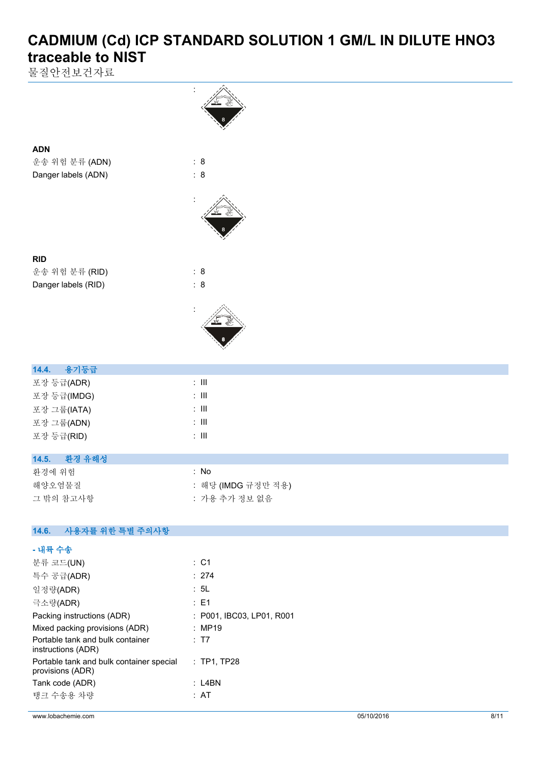물질안전보건자료

**ADN**

**RID**



| $\perp$ $\circ$ $\circ$ $\parallel$ $\parallel$ $\sim$ $\parallel$ $\parallel$ | .     |
|--------------------------------------------------------------------------------|-------|
| 포장 등급(IMDG)                                                                    | : III |
| 포장 그룹(IATA)                                                                    | : III |
| 포장 그룹(ADN)                                                                     | : III |
| 포장 등급(RID)                                                                     | : III |
|                                                                                |       |

#### **14.5. 환경 유해성**

| 화경에 위험    | : No               |
|-----------|--------------------|
| 해양오염물질    | : 해당 (IMDG 규정만 적용) |
| 그 밖의 참고사항 | : 가용 추가 정보 없음      |

#### $14.6.$ **14.6. 사용자를 위한 특별 주의사항**

| - 내륙 수송                                                      |                           |
|--------------------------------------------------------------|---------------------------|
| 분류 코드(UN)                                                    | $\therefore$ C1           |
| 특수 공급(ADR)                                                   | : 274                     |
| 일정량(ADR)                                                     | : 5L                      |
| 극소량(ADR)                                                     | : E1                      |
| Packing instructions (ADR)                                   | : P001, IBC03, LP01, R001 |
| Mixed packing provisions (ADR)                               | : MP19                    |
| Portable tank and bulk container<br>instructions (ADR)       | : T7                      |
| Portable tank and bulk container special<br>provisions (ADR) | $:$ TP1, TP28             |
| Tank code (ADR)                                              | : L4BN                    |
| 탱크 수송용 차량                                                    | : AT                      |
|                                                              |                           |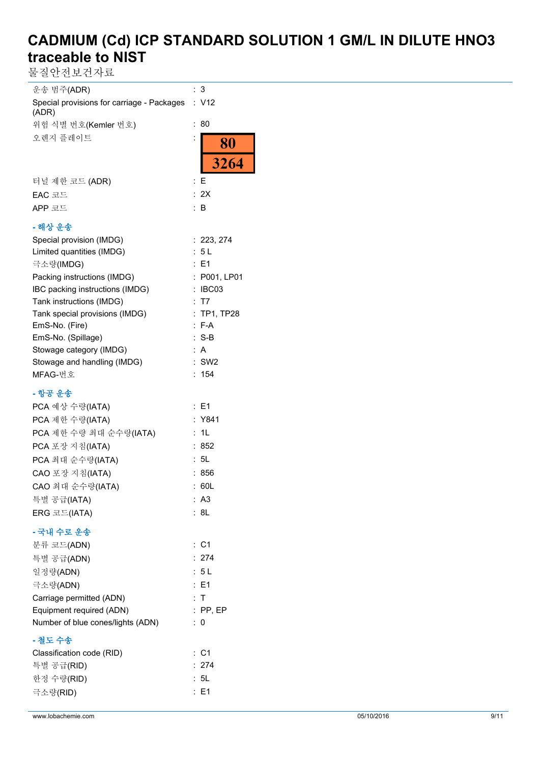물질안전보건자료

| 운송 범주(ADR)                                          | 3                |
|-----------------------------------------------------|------------------|
| Special provisions for carriage - Packages<br>(ADR) | : V12            |
| 위험 식별 번호(Kemler 번호)                                 | 80<br>÷          |
| 오렌지 플레이트                                            | 80               |
|                                                     | 3264             |
| 터널 제한 코드 (ADR)                                      | E<br>÷           |
| EAC 코드                                              | : 2X             |
| APP 코드                                              | : B              |
| - 해상 운송                                             |                  |
| Special provision (IMDG)                            | : 223, 274       |
| Limited quantities (IMDG)                           | : 5L             |
| 극소량(IMDG)                                           | E1               |
| Packing instructions (IMDG)                         | P001, LP01       |
| IBC packing instructions (IMDG)                     | IBC03            |
| Tank instructions (IMDG)                            | T7               |
| Tank special provisions (IMDG)                      | <b>TP1, TP28</b> |
| EmS-No. (Fire)                                      | $F-A$            |
| EmS-No. (Spillage)                                  | $: S-B$          |
| Stowage category (IMDG)                             | : A              |
| Stowage and handling (IMDG)                         | $:$ SW2          |
| MFAG-번호                                             | 154<br>t.        |
| - 항공 운송                                             |                  |
| PCA 예상 수량(IATA)                                     | : E1             |
| PCA 제한 수량(IATA)                                     | : Y841           |
| PCA 제한 수량 최대 순수량(IATA)                              | 1L               |
| PCA 포장 지침(IATA)                                     | 852              |
| PCA 최대 순수량(IATA)                                    | 5L               |
| CAO 포장 지침(IATA)                                     | 856              |
| CAO 최대 순수량(IATA)                                    | : 60L            |
| 특별 공급(IATA)                                         | : A3             |
| ERG 코드(IATA)                                        | : 8L             |
| - 국내 수로 운송                                          |                  |
| 분류 코드(ADN)                                          | $:$ C1           |
| 특별 공급(ADN)                                          | : 274            |
| 일정량(ADN)                                            | : 5L             |
| 극소량(ADN)                                            | : E1             |
| Carriage permitted (ADN)                            | : T              |
| Equipment required (ADN)                            | $:$ PP, EP       |
| Number of blue cones/lights (ADN)                   | : 0              |
| - 철도 수송                                             |                  |
| Classification code (RID)                           | $:$ C1           |
| 특별 공급(RID)                                          | : 274            |
| 한정 수량(RID)                                          | : 5L             |
| 극소량(RID)                                            | : E1             |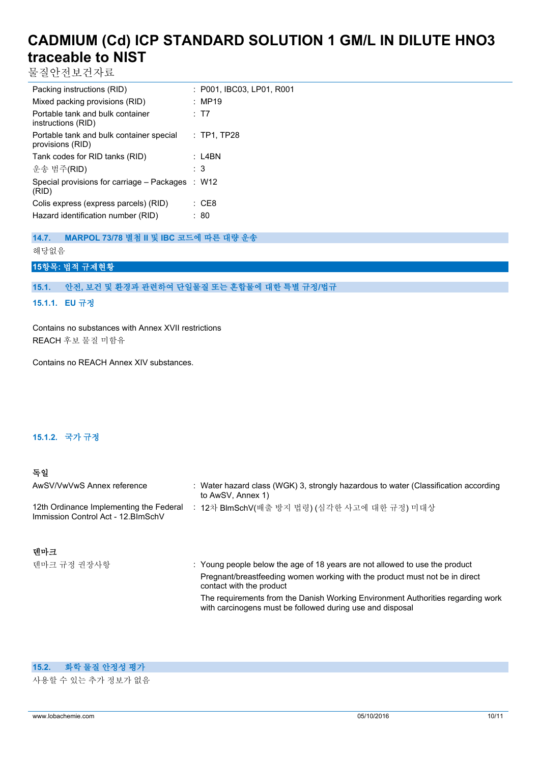물질안전보건자료

| Packing instructions (RID)                                   | : P001, IBC03, LP01, R001 |
|--------------------------------------------------------------|---------------------------|
| Mixed packing provisions (RID)                               | : MP19                    |
| Portable tank and bulk container<br>instructions (RID)       | : T7                      |
| Portable tank and bulk container special<br>provisions (RID) | $:$ TP1, TP28             |
| Tank codes for RID tanks (RID)                               | : L4BN                    |
| 운송 범주(RID)                                                   | : 3                       |
| Special provisions for carriage – Packages<br>(RID)          | : W12                     |
| Colis express (express parcels) (RID)                        | : CE8                     |
| Hazard identification number (RID)                           | : 80                      |

**14.7. MARPOL 73/78 별첨 II 및 IBC 코드에 따른 대량 운송**

해당없음

#### **15항목: 법적 규제현황**

#### **15.1. 안전, 보건 및 환경과 관련하여 단일물질 또는 혼합물에 대한 특별 규정/법규**

#### **15.1.1. EU 규정**

Contains no substances with Annex XVII restrictions REACH 후보 물질 미함유

Contains no REACH Annex XIV substances.

#### **15.1.2. 국가 규정**

#### **독일**

| AwSV/VwVwS Annex reference                                                     | : Water hazard class (WGK) 3, strongly hazardous to water (Classification according<br>to AwSV, Annex 1) |
|--------------------------------------------------------------------------------|----------------------------------------------------------------------------------------------------------|
| 12th Ordinance Implementing the Federal<br>Immission Control Act - 12. BlmSchV | 12차 BlmSchV(배출 방지 법령) (심각한 사고에 대한 규정) 미대상                                                                |

#### **덴마크**

덴마크 규정 권장사항 : Young people below the age of 18 years are not allowed to use the product Pregnant/breastfeeding women working with the product must not be in direct contact with the product The requirements from the Danish Working Environment Authorities regarding work with carcinogens must be followed during use and disposal

#### **15.2. 화학 물질 안정성 평가**

사용할 수 있는 추가 정보가 없음